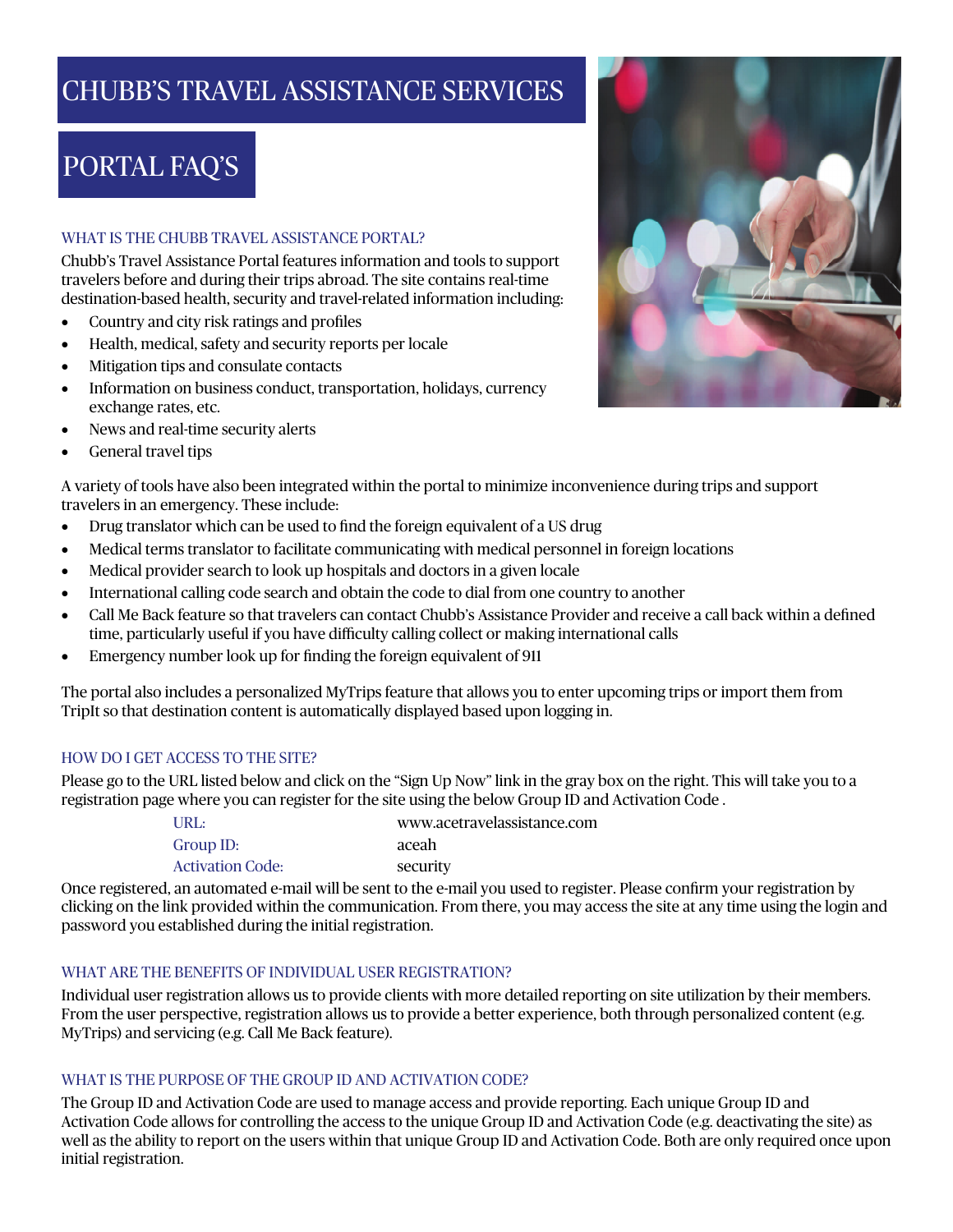## CHUBB'S TRAVEL ASSISTANCE SERVICES

# PORTAL FAQ'S

## WHAT IS THE CHUBB TRAVEL ASSISTANCE PORTAL?

Chubb's Travel Assistance Portal features information and tools to support travelers before and during their trips abroad. The site contains real-time destination-based health, security and travel-related information including:

- Country and city risk ratings and profiles
- Health, medical, safety and security reports per locale
- Mitigation tips and consulate contacts
- Information on business conduct, transportation, holidays, currency exchange rates, etc.
- News and real-time security alerts
- General travel tips



A variety of tools have also been integrated within the portal to minimize inconvenience during trips and support travelers in an emergency. These include:

- Drug translator which can be used to find the foreign equivalent of a US drug
- Medical terms translator to facilitate communicating with medical personnel in foreign locations
- Medical provider search to look up hospitals and doctors in a given locale
- International calling code search and obtain the code to dial from one country to another
- Call Me Back feature so that travelers can contact Chubb's Assistance Provider and receive a call back within a defined time, particularly useful if you have difficulty calling collect or making international calls
- Emergency number look up for finding the foreign equivalent of 911

The portal also includes a personalized MyTrips feature that allows you to enter upcoming trips or import them from TripIt so that destination content is automatically displayed based upon logging in.

## HOW DO I GET ACCESS TO THE SITE?

Please go to the URL listed below and click on the "Sign Up Now" link in the gray box on the right. This will take you to a registration page where you can register for the site using the below Group ID and Activation Code .

| URL:             | www.acetravelassistance.com |
|------------------|-----------------------------|
| Group ID:        | aceah                       |
| Activation Code: | security                    |

Once registered, an automated e-mail will be sent to the e-mail you used to register. Please confirm your registration by clicking on the link provided within the communication. From there, you may access the site at any time using the login and password you established during the initial registration.

## WHAT ARE THE BENEFITS OF INDIVIDUAL USER REGISTRATION?

Individual user registration allows us to provide clients with more detailed reporting on site utilization by their members. From the user perspective, registration allows us to provide a better experience, both through personalized content (e.g. MyTrips) and servicing (e.g. Call Me Back feature).

## WHAT IS THE PURPOSE OF THE GROUP ID AND ACTIVATION CODE?

The Group ID and Activation Code are used to manage access and provide reporting. Each unique Group ID and Activation Code allows for controlling the access to the unique Group ID and Activation Code (e.g. deactivating the site) as well as the ability to report on the users within that unique Group ID and Activation Code. Both are only required once upon initial registration.